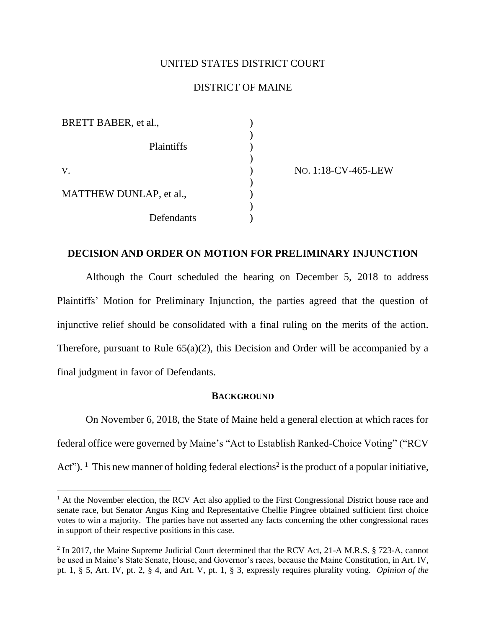### UNITED STATES DISTRICT COURT

# DISTRICT OF MAINE

| BRETT BABER, et al.,           |  |
|--------------------------------|--|
| Plaintiffs                     |  |
| V.                             |  |
| <b>MATTHEW DUNLAP, et al.,</b> |  |
| Defendants                     |  |

NO. 1:18-CV-465-LEW

### **DECISION AND ORDER ON MOTION FOR PRELIMINARY INJUNCTION**

Although the Court scheduled the hearing on December 5, 2018 to address Plaintiffs' Motion for Preliminary Injunction, the parties agreed that the question of injunctive relief should be consolidated with a final ruling on the merits of the action. Therefore, pursuant to Rule 65(a)(2), this Decision and Order will be accompanied by a final judgment in favor of Defendants.

#### **BACKGROUND**

On November 6, 2018, the State of Maine held a general election at which races for federal office were governed by Maine's "Act to Establish Ranked-Choice Voting" ("RCV Act"). <sup>1</sup> This new manner of holding federal elections<sup>2</sup> is the product of a popular initiative,

<sup>&</sup>lt;sup>1</sup> At the November election, the RCV Act also applied to the First Congressional District house race and senate race, but Senator Angus King and Representative Chellie Pingree obtained sufficient first choice votes to win a majority. The parties have not asserted any facts concerning the other congressional races in support of their respective positions in this case.

<sup>&</sup>lt;sup>2</sup> In 2017, the Maine Supreme Judicial Court determined that the RCV Act, 21-A M.R.S. § 723-A, cannot be used in Maine's State Senate, House, and Governor's races, because the Maine Constitution, in Art. IV, pt. 1, § 5, Art. IV, pt. 2, § 4, and Art. V, pt. 1, § 3, expressly requires plurality voting. *Opinion of the*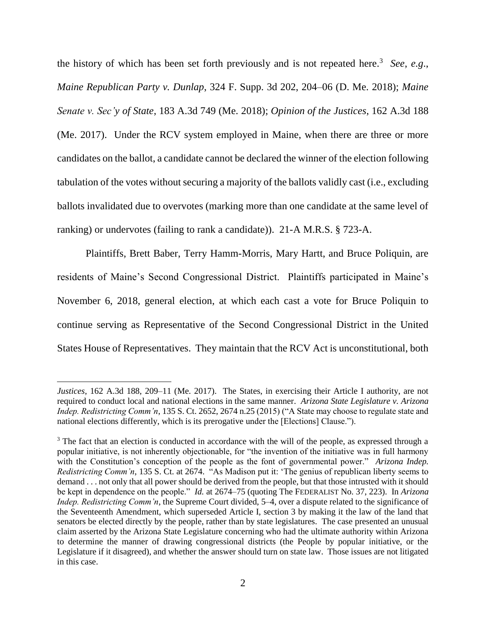the history of which has been set forth previously and is not repeated here.<sup>3</sup> See, e.g., *Maine Republican Party v. Dunlap*, 324 F. Supp. 3d 202, 204–06 (D. Me. 2018); *Maine Senate v. Sec'y of State*, 183 A.3d 749 (Me. 2018); *Opinion of the Justices*, 162 A.3d 188 (Me. 2017). Under the RCV system employed in Maine, when there are three or more candidates on the ballot, a candidate cannot be declared the winner of the election following tabulation of the votes without securing a majority of the ballots validly cast (i.e., excluding ballots invalidated due to overvotes (marking more than one candidate at the same level of ranking) or undervotes (failing to rank a candidate)). 21-A M.R.S. § 723-A.

Plaintiffs, Brett Baber, Terry Hamm-Morris, Mary Hartt, and Bruce Poliquin, are residents of Maine's Second Congressional District. Plaintiffs participated in Maine's November 6, 2018, general election, at which each cast a vote for Bruce Poliquin to continue serving as Representative of the Second Congressional District in the United States House of Representatives. They maintain that the RCV Act is unconstitutional, both

*Justices*, 162 A.3d 188, 209–11 (Me. 2017). The States, in exercising their Article I authority, are not required to conduct local and national elections in the same manner. *Arizona State Legislature v. Arizona Indep. Redistricting Comm'n*, 135 S. Ct. 2652, 2674 n.25 (2015) ("A State may choose to regulate state and national elections differently, which is its prerogative under the [Elections] Clause.").

<sup>&</sup>lt;sup>3</sup> The fact that an election is conducted in accordance with the will of the people, as expressed through a popular initiative, is not inherently objectionable, for "the invention of the initiative was in full harmony with the Constitution's conception of the people as the font of governmental power." *Arizona Indep. Redistricting Comm'n*, 135 S. Ct. at 2674. "As Madison put it: 'The genius of republican liberty seems to demand . . . not only that all power should be derived from the people, but that those intrusted with it should be kept in dependence on the people." *Id.* at 2674–75 (quoting The FEDERALIST No. 37, 223). In *Arizona Indep. Redistricting Comm'n*, the Supreme Court divided, 5–4, over a dispute related to the significance of the Seventeenth Amendment, which superseded Article I, section 3 by making it the law of the land that senators be elected directly by the people, rather than by state legislatures. The case presented an unusual claim asserted by the Arizona State Legislature concerning who had the ultimate authority within Arizona to determine the manner of drawing congressional districts (the People by popular initiative, or the Legislature if it disagreed), and whether the answer should turn on state law. Those issues are not litigated in this case.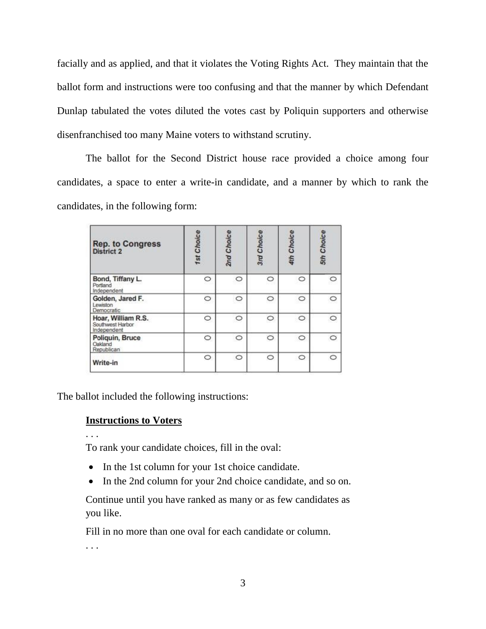facially and as applied, and that it violates the Voting Rights Act. They maintain that the ballot form and instructions were too confusing and that the manner by which Defendant Dunlap tabulated the votes diluted the votes cast by Poliquin supporters and otherwise disenfranchised too many Maine voters to withstand scrutiny.

The ballot for the Second District house race provided a choice among four candidates, a space to enter a write-in candidate, and a manner by which to rank the candidates, in the following form:

| <b>Rep. to Congress</b><br><b>District 2</b>          | 1st Choice | 2nd Choice | 3rd Choice | 4th Choice | 5th Choice |
|-------------------------------------------------------|------------|------------|------------|------------|------------|
| Bond, Tiffany L.<br>Portland<br>Independent           | ◯          | $\circ$    | 0          |            |            |
| Golden, Jared F.<br>Lewiston<br>Democratic            | Ô          | $\circ$    | $\circ$    | $\circ$    |            |
| Hoar, William R.S.<br>Southwest Harbor<br>Independent | 0          | $\circ$    | $\circ$    | $\circ$    | C          |
| Poliquin, Bruce<br>Oakland<br>Republican              | 0          | $\circ$    | $\circ$    | $\circ$    | O          |
| Write-in                                              | $\circ$    | $\circ$    | $\circ$    | $\circ$    |            |

The ballot included the following instructions:

### **Instructions to Voters**

. . .

To rank your candidate choices, fill in the oval:

- In the 1st column for your 1st choice candidate.
- In the 2nd column for your 2nd choice candidate, and so on.

Continue until you have ranked as many or as few candidates as you like.

Fill in no more than one oval for each candidate or column.

. . .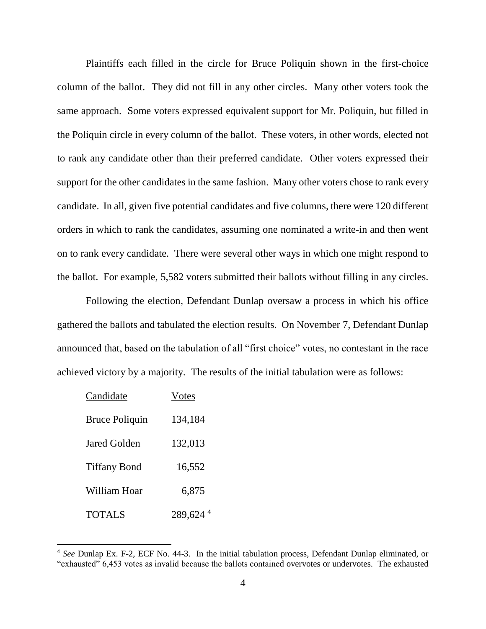Plaintiffs each filled in the circle for Bruce Poliquin shown in the first-choice column of the ballot. They did not fill in any other circles. Many other voters took the same approach. Some voters expressed equivalent support for Mr. Poliquin, but filled in the Poliquin circle in every column of the ballot. These voters, in other words, elected not to rank any candidate other than their preferred candidate. Other voters expressed their support for the other candidates in the same fashion. Many other voters chose to rank every candidate. In all, given five potential candidates and five columns, there were 120 different orders in which to rank the candidates, assuming one nominated a write-in and then went on to rank every candidate. There were several other ways in which one might respond to the ballot. For example, 5,582 voters submitted their ballots without filling in any circles.

Following the election, Defendant Dunlap oversaw a process in which his office gathered the ballots and tabulated the election results. On November 7, Defendant Dunlap announced that, based on the tabulation of all "first choice" votes, no contestant in the race achieved victory by a majority. The results of the initial tabulation were as follows:

| Candidate             | Votes   |
|-----------------------|---------|
| <b>Bruce Poliquin</b> | 134,184 |
| Jared Golden          | 132,013 |
| <b>Tiffany Bond</b>   | 16,552  |
| William Hoar          | 6,875   |
| <b>TOTALS</b>         | 289,624 |

<sup>4</sup> *See* Dunlap Ex. F-2, ECF No. 44-3. In the initial tabulation process, Defendant Dunlap eliminated, or "exhausted" 6,453 votes as invalid because the ballots contained overvotes or undervotes. The exhausted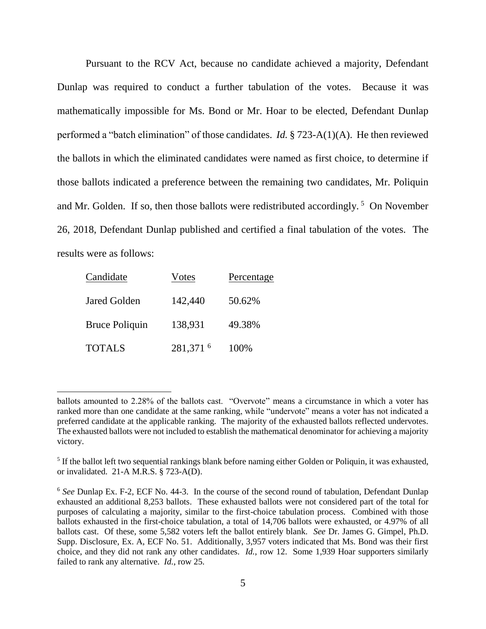Pursuant to the RCV Act, because no candidate achieved a majority, Defendant Dunlap was required to conduct a further tabulation of the votes. Because it was mathematically impossible for Ms. Bond or Mr. Hoar to be elected, Defendant Dunlap performed a "batch elimination" of those candidates. *Id.* § 723-A(1)(A). He then reviewed the ballots in which the eliminated candidates were named as first choice, to determine if those ballots indicated a preference between the remaining two candidates, Mr. Poliquin and Mr. Golden. If so, then those ballots were redistributed accordingly.<sup>5</sup> On November 26, 2018, Defendant Dunlap published and certified a final tabulation of the votes. The results were as follows:

| Candidate             | Votes     | Percentage |
|-----------------------|-----------|------------|
| Jared Golden          | 142,440   | 50.62%     |
| <b>Bruce Poliquin</b> | 138,931   | 49.38%     |
| <b>TOTALS</b>         | 281,371 6 | 100%       |

ballots amounted to 2.28% of the ballots cast. "Overvote" means a circumstance in which a voter has ranked more than one candidate at the same ranking, while "undervote" means a voter has not indicated a preferred candidate at the applicable ranking. The majority of the exhausted ballots reflected undervotes. The exhausted ballots were not included to establish the mathematical denominator for achieving a majority victory.

<sup>&</sup>lt;sup>5</sup> If the ballot left two sequential rankings blank before naming either Golden or Poliquin, it was exhausted, or invalidated. 21-A M.R.S. § 723-A(D).

<sup>6</sup> *See* Dunlap Ex. F-2, ECF No. 44-3. In the course of the second round of tabulation, Defendant Dunlap exhausted an additional 8,253 ballots. These exhausted ballots were not considered part of the total for purposes of calculating a majority, similar to the first-choice tabulation process. Combined with those ballots exhausted in the first-choice tabulation, a total of 14,706 ballots were exhausted, or 4.97% of all ballots cast. Of these, some 5,582 voters left the ballot entirely blank. *See* Dr. James G. Gimpel, Ph.D. Supp. Disclosure, Ex. A, ECF No. 51. Additionally, 3,957 voters indicated that Ms. Bond was their first choice, and they did not rank any other candidates. *Id.*, row 12.Some 1,939 Hoar supporters similarly failed to rank any alternative. *Id.*, row 25.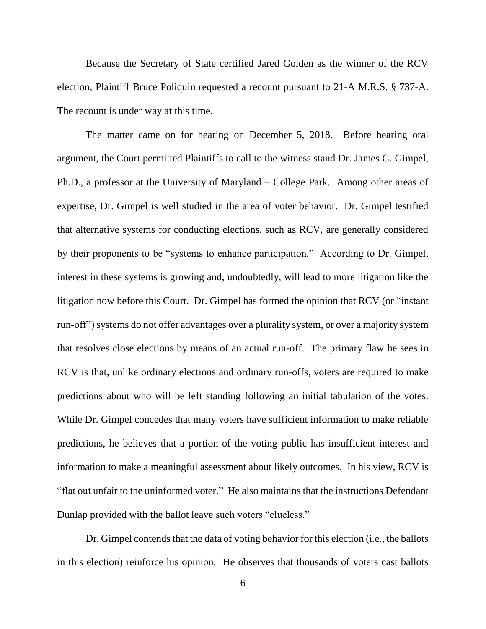Because the Secretary of State certified Jared Golden as the winner of the RCV election, Plaintiff Bruce Poliquin requested a recount pursuant to 21-A M.R.S. § 737-A. The recount is under way at this time.

The matter came on for hearing on December 5, 2018. Before hearing oral argument, the Court permitted Plaintiffs to call to the witness stand Dr. James G. Gimpel, Ph.D., a professor at the University of Maryland – College Park. Among other areas of expertise, Dr. Gimpel is well studied in the area of voter behavior. Dr. Gimpel testified that alternative systems for conducting elections, such as RCV, are generally considered by their proponents to be "systems to enhance participation." According to Dr. Gimpel, interest in these systems is growing and, undoubtedly, will lead to more litigation like the litigation now before this Court. Dr. Gimpel has formed the opinion that RCV (or "instant run-off") systems do not offer advantages over a plurality system, or over a majority system that resolves close elections by means of an actual run-off. The primary flaw he sees in RCV is that, unlike ordinary elections and ordinary run-offs, voters are required to make predictions about who will be left standing following an initial tabulation of the votes. While Dr. Gimpel concedes that many voters have sufficient information to make reliable predictions, he believes that a portion of the voting public has insufficient interest and information to make a meaningful assessment about likely outcomes. In his view, RCV is "flat out unfair to the uninformed voter." He also maintains that the instructions Defendant Dunlap provided with the ballot leave such voters "clueless."

Dr. Gimpel contends that the data of voting behavior for this election (i.e., the ballots in this election) reinforce his opinion. He observes that thousands of voters cast ballots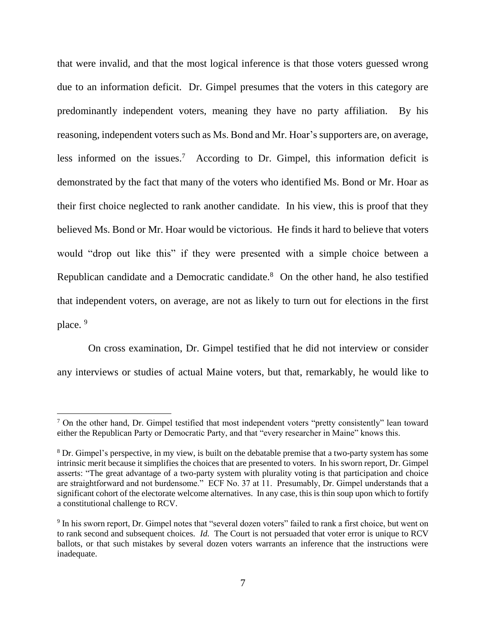that were invalid, and that the most logical inference is that those voters guessed wrong due to an information deficit. Dr. Gimpel presumes that the voters in this category are predominantly independent voters, meaning they have no party affiliation. By his reasoning, independent voters such as Ms. Bond and Mr. Hoar's supporters are, on average, less informed on the issues.<sup>7</sup> According to Dr. Gimpel, this information deficit is demonstrated by the fact that many of the voters who identified Ms. Bond or Mr. Hoar as their first choice neglected to rank another candidate. In his view, this is proof that they believed Ms. Bond or Mr. Hoar would be victorious. He finds it hard to believe that voters would "drop out like this" if they were presented with a simple choice between a Republican candidate and a Democratic candidate. $8$  On the other hand, he also testified that independent voters, on average, are not as likely to turn out for elections in the first place.<sup>9</sup>

On cross examination, Dr. Gimpel testified that he did not interview or consider any interviews or studies of actual Maine voters, but that, remarkably, he would like to

 $\overline{a}$ 

<sup>&</sup>lt;sup>7</sup> On the other hand, Dr. Gimpel testified that most independent voters "pretty consistently" lean toward either the Republican Party or Democratic Party, and that "every researcher in Maine" knows this.

<sup>&</sup>lt;sup>8</sup> Dr. Gimpel's perspective, in my view, is built on the debatable premise that a two-party system has some intrinsic merit because it simplifies the choices that are presented to voters. In his sworn report, Dr. Gimpel asserts: "The great advantage of a two-party system with plurality voting is that participation and choice are straightforward and not burdensome." ECF No. 37 at 11. Presumably, Dr. Gimpel understands that a significant cohort of the electorate welcome alternatives. In any case, this is thin soup upon which to fortify a constitutional challenge to RCV.

<sup>&</sup>lt;sup>9</sup> In his sworn report, Dr. Gimpel notes that "several dozen voters" failed to rank a first choice, but went on to rank second and subsequent choices. *Id.* The Court is not persuaded that voter error is unique to RCV ballots, or that such mistakes by several dozen voters warrants an inference that the instructions were inadequate.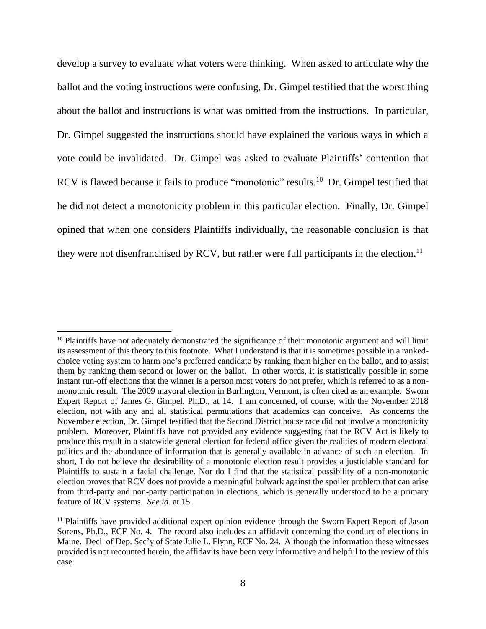develop a survey to evaluate what voters were thinking. When asked to articulate why the ballot and the voting instructions were confusing, Dr. Gimpel testified that the worst thing about the ballot and instructions is what was omitted from the instructions. In particular, Dr. Gimpel suggested the instructions should have explained the various ways in which a vote could be invalidated. Dr. Gimpel was asked to evaluate Plaintiffs' contention that RCV is flawed because it fails to produce "monotonic" results.<sup>10</sup> Dr. Gimpel testified that he did not detect a monotonicity problem in this particular election. Finally, Dr. Gimpel opined that when one considers Plaintiffs individually, the reasonable conclusion is that they were not disenfranchised by RCV, but rather were full participants in the election.<sup>11</sup>

 $\overline{a}$ 

<sup>&</sup>lt;sup>10</sup> Plaintiffs have not adequately demonstrated the significance of their monotonic argument and will limit its assessment of this theory to this footnote. What I understand is that it is sometimes possible in a rankedchoice voting system to harm one's preferred candidate by ranking them higher on the ballot, and to assist them by ranking them second or lower on the ballot. In other words, it is statistically possible in some instant run-off elections that the winner is a person most voters do not prefer, which is referred to as a nonmonotonic result. The 2009 mayoral election in Burlington, Vermont, is often cited as an example. Sworn Expert Report of James G. Gimpel, Ph.D., at 14. I am concerned, of course, with the November 2018 election, not with any and all statistical permutations that academics can conceive. As concerns the November election, Dr. Gimpel testified that the Second District house race did not involve a monotonicity problem. Moreover, Plaintiffs have not provided any evidence suggesting that the RCV Act is likely to produce this result in a statewide general election for federal office given the realities of modern electoral politics and the abundance of information that is generally available in advance of such an election. In short, I do not believe the desirability of a monotonic election result provides a justiciable standard for Plaintiffs to sustain a facial challenge. Nor do I find that the statistical possibility of a non-monotonic election proves that RCV does not provide a meaningful bulwark against the spoiler problem that can arise from third-party and non-party participation in elections, which is generally understood to be a primary feature of RCV systems. *See id.* at 15.

<sup>&</sup>lt;sup>11</sup> Plaintiffs have provided additional expert opinion evidence through the Sworn Expert Report of Jason Sorens, Ph.D., ECF No. 4. The record also includes an affidavit concerning the conduct of elections in Maine. Decl. of Dep. Sec'y of State Julie L. Flynn, ECF No. 24. Although the information these witnesses provided is not recounted herein, the affidavits have been very informative and helpful to the review of this case.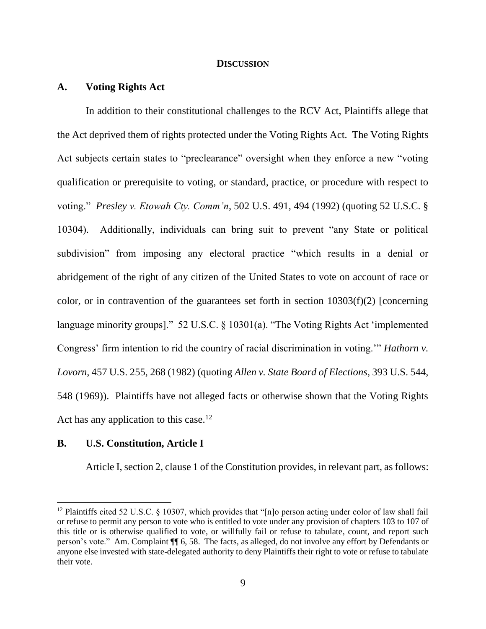#### **DISCUSSION**

### **A. Voting Rights Act**

In addition to their constitutional challenges to the RCV Act, Plaintiffs allege that the Act deprived them of rights protected under the Voting Rights Act. The Voting Rights Act subjects certain states to "preclearance" oversight when they enforce a new "voting qualification or prerequisite to voting, or standard, practice, or procedure with respect to voting." *Presley v. Etowah Cty. Comm'n*, 502 U.S. 491, 494 (1992) (quoting 52 U.S.C. § 10304). Additionally, individuals can bring suit to prevent "any State or political subdivision" from imposing any electoral practice "which results in a denial or abridgement of the right of any citizen of the United States to vote on account of race or color, or in contravention of the guarantees set forth in section  $10303(f)(2)$  [concerning language minority groups]." 52 U.S.C. § 10301(a). "The Voting Rights Act 'implemented Congress' firm intention to rid the country of racial discrimination in voting.'" *Hathorn v. Lovorn*, 457 U.S. 255, 268 (1982) (quoting *Allen v. State Board of Elections*, 393 U.S. 544, 548 (1969)). Plaintiffs have not alleged facts or otherwise shown that the Voting Rights Act has any application to this case.<sup>12</sup>

### **B. U.S. Constitution, Article I**

l

Article I, section 2, clause 1 of the Constitution provides, in relevant part, as follows:

<sup>&</sup>lt;sup>12</sup> Plaintiffs cited 52 U.S.C. § 10307, which provides that "[n]o person acting under color of law shall fail or refuse to permit any person to vote who is entitled to vote under any provision of chapters 103 to 107 of this title or is otherwise qualified to vote, or willfully fail or refuse to tabulate, count, and report such person's vote." Am. Complaint ¶¶ 6, 58. The facts, as alleged, do not involve any effort by Defendants or anyone else invested with state-delegated authority to deny Plaintiffs their right to vote or refuse to tabulate their vote.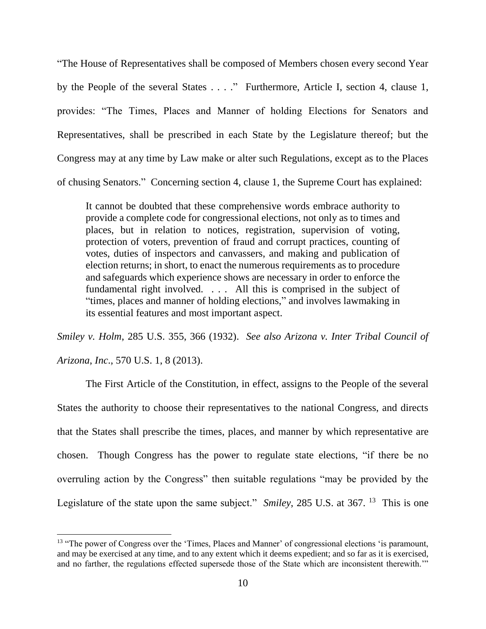"The House of Representatives shall be composed of Members chosen every second Year by the People of the several States . . . ." Furthermore, Article I, section 4, clause 1, provides: "The Times, Places and Manner of holding Elections for Senators and Representatives, shall be prescribed in each State by the Legislature thereof; but the Congress may at any time by Law make or alter such Regulations, except as to the Places of chusing Senators." Concerning section 4, clause 1, the Supreme Court has explained:

It cannot be doubted that these comprehensive words embrace authority to provide a complete code for congressional elections, not only as to times and places, but in relation to notices, registration, supervision of voting, protection of voters, prevention of fraud and corrupt practices, counting of votes, duties of inspectors and canvassers, and making and publication of election returns; in short, to enact the numerous requirements as to procedure and safeguards which experience shows are necessary in order to enforce the fundamental right involved. . . . All this is comprised in the subject of "times, places and manner of holding elections," and involves lawmaking in its essential features and most important aspect.

*Smiley v. Holm*, 285 U.S. 355, 366 (1932). *See also Arizona v. Inter Tribal Council of Arizona*, *Inc*., 570 U.S. 1, 8 (2013).

The First Article of the Constitution, in effect, assigns to the People of the several States the authority to choose their representatives to the national Congress, and directs that the States shall prescribe the times, places, and manner by which representative are chosen. Though Congress has the power to regulate state elections, "if there be no overruling action by the Congress" then suitable regulations "may be provided by the Legislature of the state upon the same subject." *Smiley*, 285 U.S. at 367. <sup>13</sup> This is one

<sup>&</sup>lt;sup>13</sup> "The power of Congress over the 'Times, Places and Manner' of congressional elections 'is paramount, and may be exercised at any time, and to any extent which it deems expedient; and so far as it is exercised, and no farther, the regulations effected supersede those of the State which are inconsistent therewith.'"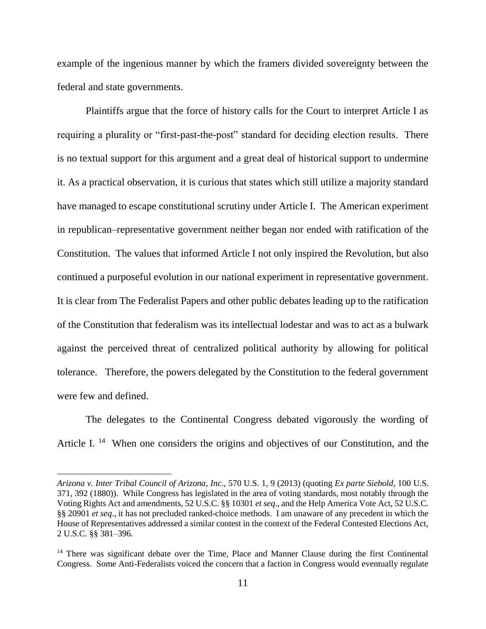example of the ingenious manner by which the framers divided sovereignty between the federal and state governments.

Plaintiffs argue that the force of history calls for the Court to interpret Article I as requiring a plurality or "first-past-the-post" standard for deciding election results. There is no textual support for this argument and a great deal of historical support to undermine it. As a practical observation, it is curious that states which still utilize a majority standard have managed to escape constitutional scrutiny under Article I. The American experiment in republican–representative government neither began nor ended with ratification of the Constitution. The values that informed Article I not only inspired the Revolution, but also continued a purposeful evolution in our national experiment in representative government. It is clear from The Federalist Papers and other public debates leading up to the ratification of the Constitution that federalism was its intellectual lodestar and was to act as a bulwark against the perceived threat of centralized political authority by allowing for political tolerance. Therefore, the powers delegated by the Constitution to the federal government were few and defined.

The delegates to the Continental Congress debated vigorously the wording of Article I.<sup>14</sup> When one considers the origins and objectives of our Constitution, and the

*Arizona v. Inter Tribal Council of Arizona*, *Inc*., 570 U.S. 1, 9 (2013) (quoting *Ex parte Siebold*, 100 U.S. 371, 392 (1880)). While Congress has legislated in the area of voting standards, most notably through the Voting Rights Act and amendments, 52 U.S.C. §§ 10301 *et seq*., and the Help America Vote Act, 52 U.S.C. §§ 20901 *et seq*., it has not precluded ranked-choice methods. I am unaware of any precedent in which the House of Representatives addressed a similar contest in the context of the Federal Contested Elections Act, 2 U.S.C. §§ 381–396.

<sup>&</sup>lt;sup>14</sup> There was significant debate over the Time, Place and Manner Clause during the first Continental Congress. Some Anti-Federalists voiced the concern that a faction in Congress would eventually regulate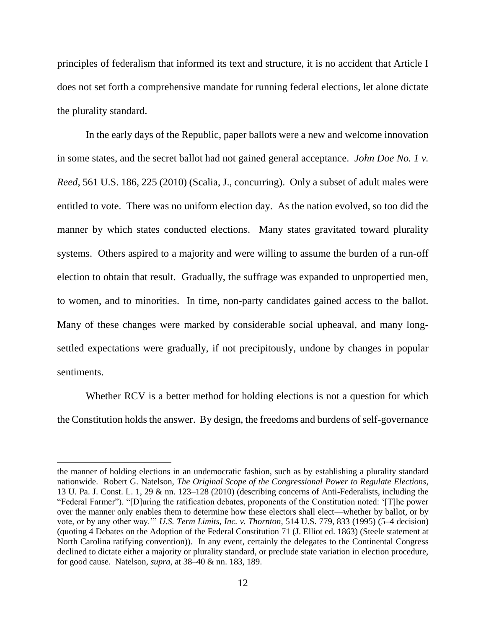principles of federalism that informed its text and structure, it is no accident that Article I does not set forth a comprehensive mandate for running federal elections, let alone dictate the plurality standard.

In the early days of the Republic, paper ballots were a new and welcome innovation in some states, and the secret ballot had not gained general acceptance. *John Doe No. 1 v. Reed*, 561 U.S. 186, 225 (2010) (Scalia, J., concurring). Only a subset of adult males were entitled to vote. There was no uniform election day. As the nation evolved, so too did the manner by which states conducted elections. Many states gravitated toward plurality systems. Others aspired to a majority and were willing to assume the burden of a run-off election to obtain that result. Gradually, the suffrage was expanded to unpropertied men, to women, and to minorities. In time, non-party candidates gained access to the ballot. Many of these changes were marked by considerable social upheaval, and many longsettled expectations were gradually, if not precipitously, undone by changes in popular sentiments.

Whether RCV is a better method for holding elections is not a question for which the Constitution holds the answer. By design, the freedoms and burdens of self-governance

the manner of holding elections in an undemocratic fashion, such as by establishing a plurality standard nationwide. Robert G. Natelson, *The Original Scope of the Congressional Power to Regulate Elections*, 13 U. Pa. J. Const. L. 1, 29 & nn. 123–128 (2010) (describing concerns of Anti-Federalists, including the "Federal Farmer"). "[D]uring the ratification debates, proponents of the Constitution noted: '[T]he power over the manner only enables them to determine how these electors shall elect—whether by ballot, or by vote, or by any other way.'" *U.S. Term Limits*, *Inc. v. Thornton*, 514 U.S. 779, 833 (1995) (5–4 decision) (quoting 4 Debates on the Adoption of the Federal Constitution 71 (J. Elliot ed. 1863) (Steele statement at North Carolina ratifying convention)). In any event, certainly the delegates to the Continental Congress declined to dictate either a majority or plurality standard, or preclude state variation in election procedure, for good cause. Natelson, *supra*, at 38–40 & nn. 183, 189.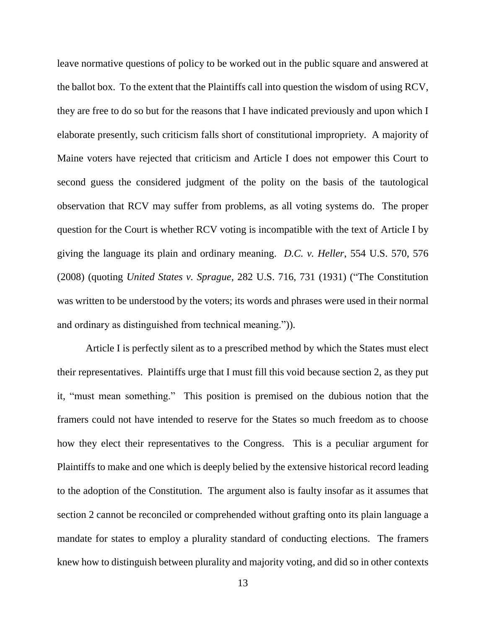leave normative questions of policy to be worked out in the public square and answered at the ballot box. To the extent that the Plaintiffs call into question the wisdom of using RCV, they are free to do so but for the reasons that I have indicated previously and upon which I elaborate presently, such criticism falls short of constitutional impropriety. A majority of Maine voters have rejected that criticism and Article I does not empower this Court to second guess the considered judgment of the polity on the basis of the tautological observation that RCV may suffer from problems, as all voting systems do. The proper question for the Court is whether RCV voting is incompatible with the text of Article I by giving the language its plain and ordinary meaning. *D.C. v. Heller*, 554 U.S. 570, 576 (2008) (quoting *United States v. Sprague*, 282 U.S. 716, 731 (1931) ("The Constitution was written to be understood by the voters; its words and phrases were used in their normal and ordinary as distinguished from technical meaning.")).

Article I is perfectly silent as to a prescribed method by which the States must elect their representatives. Plaintiffs urge that I must fill this void because section 2, as they put it, "must mean something." This position is premised on the dubious notion that the framers could not have intended to reserve for the States so much freedom as to choose how they elect their representatives to the Congress. This is a peculiar argument for Plaintiffs to make and one which is deeply belied by the extensive historical record leading to the adoption of the Constitution. The argument also is faulty insofar as it assumes that section 2 cannot be reconciled or comprehended without grafting onto its plain language a mandate for states to employ a plurality standard of conducting elections. The framers knew how to distinguish between plurality and majority voting, and did so in other contexts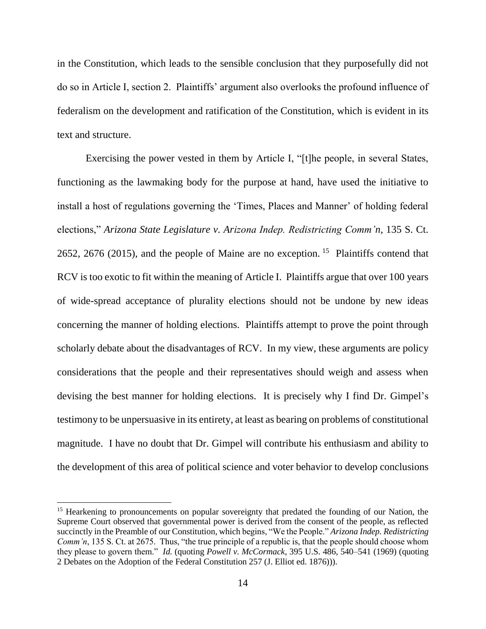in the Constitution, which leads to the sensible conclusion that they purposefully did not do so in Article I, section 2. Plaintiffs' argument also overlooks the profound influence of federalism on the development and ratification of the Constitution, which is evident in its text and structure.

Exercising the power vested in them by Article I, "[t]he people, in several States, functioning as the lawmaking body for the purpose at hand, have used the initiative to install a host of regulations governing the 'Times, Places and Manner' of holding federal elections," *Arizona State Legislature v. Arizona Indep. Redistricting Comm'n*, 135 S. Ct. 2652, 2676 (2015), and the people of Maine are no exception. <sup>15</sup> Plaintiffs contend that RCV is too exotic to fit within the meaning of Article I. Plaintiffs argue that over 100 years of wide-spread acceptance of plurality elections should not be undone by new ideas concerning the manner of holding elections. Plaintiffs attempt to prove the point through scholarly debate about the disadvantages of RCV. In my view, these arguments are policy considerations that the people and their representatives should weigh and assess when devising the best manner for holding elections. It is precisely why I find Dr. Gimpel's testimony to be unpersuasive in its entirety, at least as bearing on problems of constitutional magnitude. I have no doubt that Dr. Gimpel will contribute his enthusiasm and ability to the development of this area of political science and voter behavior to develop conclusions

<sup>&</sup>lt;sup>15</sup> Hearkening to pronouncements on popular sovereignty that predated the founding of our Nation, the Supreme Court observed that governmental power is derived from the consent of the people, as reflected succinctly in the Preamble of our Constitution, which begins, "We the People." *Arizona Indep. Redistricting Comm'n*, 135 S. Ct. at 2675. Thus, "the true principle of a republic is, that the people should choose whom they please to govern them." *Id.* (quoting *Powell v. McCormack*, 395 U.S. 486, 540–541 (1969) (quoting 2 Debates on the Adoption of the Federal Constitution 257 (J. Elliot ed. 1876))).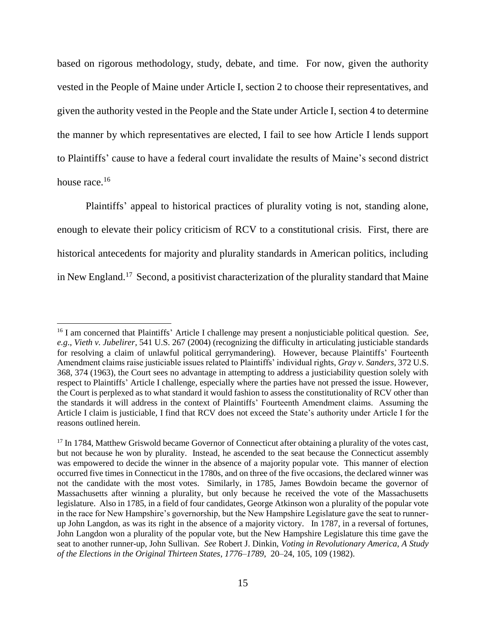based on rigorous methodology, study, debate, and time. For now, given the authority vested in the People of Maine under Article I, section 2 to choose their representatives, and given the authority vested in the People and the State under Article I, section 4 to determine the manner by which representatives are elected, I fail to see how Article I lends support to Plaintiffs' cause to have a federal court invalidate the results of Maine's second district house race.<sup>16</sup>

Plaintiffs' appeal to historical practices of plurality voting is not, standing alone, enough to elevate their policy criticism of RCV to a constitutional crisis. First, there are historical antecedents for majority and plurality standards in American politics, including in New England.<sup>17</sup> Second, a positivist characterization of the plurality standard that Maine

 $\overline{a}$ 

<sup>16</sup> I am concerned that Plaintiffs' Article I challenge may present a nonjusticiable political question. *See*, *e.g*., *Vieth v. Jubelirer*, 541 U.S. 267 (2004) (recognizing the difficulty in articulating justiciable standards for resolving a claim of unlawful political gerrymandering). However, because Plaintiffs' Fourteenth Amendment claims raise justiciable issues related to Plaintiffs' individual rights, *Gray v. Sanders*, 372 U.S. 368, 374 (1963), the Court sees no advantage in attempting to address a justiciability question solely with respect to Plaintiffs' Article I challenge, especially where the parties have not pressed the issue. However, the Court is perplexed as to what standard it would fashion to assess the constitutionality of RCV other than the standards it will address in the context of Plaintiffs' Fourteenth Amendment claims. Assuming the Article I claim is justiciable, I find that RCV does not exceed the State's authority under Article I for the reasons outlined herein.

<sup>&</sup>lt;sup>17</sup> In 1784, Matthew Griswold became Governor of Connecticut after obtaining a plurality of the votes cast, but not because he won by plurality. Instead, he ascended to the seat because the Connecticut assembly was empowered to decide the winner in the absence of a majority popular vote. This manner of election occurred five times in Connecticut in the 1780s, and on three of the five occasions, the declared winner was not the candidate with the most votes. Similarly, in 1785, James Bowdoin became the governor of Massachusetts after winning a plurality, but only because he received the vote of the Massachusetts legislature. Also in 1785, in a field of four candidates, George Atkinson won a plurality of the popular vote in the race for New Hampshire's governorship, but the New Hampshire Legislature gave the seat to runnerup John Langdon, as was its right in the absence of a majority victory. In 1787, in a reversal of fortunes, John Langdon won a plurality of the popular vote, but the New Hampshire Legislature this time gave the seat to another runner-up, John Sullivan. *See* Robert J. Dinkin, *Voting in Revolutionary America*, *A Study of the Elections in the Original Thirteen States*, *1776–1789*, 20–24, 105, 109 (1982).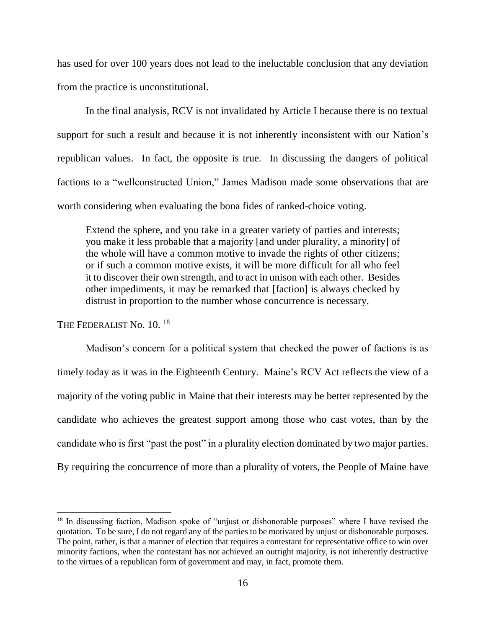has used for over 100 years does not lead to the ineluctable conclusion that any deviation from the practice is unconstitutional.

In the final analysis, RCV is not invalidated by Article I because there is no textual support for such a result and because it is not inherently inconsistent with our Nation's republican values. In fact, the opposite is true. In discussing the dangers of political factions to a "wellconstructed Union," James Madison made some observations that are worth considering when evaluating the bona fides of ranked-choice voting.

Extend the sphere, and you take in a greater variety of parties and interests; you make it less probable that a majority [and under plurality, a minority] of the whole will have a common motive to invade the rights of other citizens; or if such a common motive exists, it will be more difficult for all who feel it to discover their own strength, and to act in unison with each other. Besides other impediments, it may be remarked that [faction] is always checked by distrust in proportion to the number whose concurrence is necessary.

THE FEDERALIST No. 10. <sup>18</sup>

 $\overline{a}$ 

Madison's concern for a political system that checked the power of factions is as timely today as it was in the Eighteenth Century. Maine's RCV Act reflects the view of a majority of the voting public in Maine that their interests may be better represented by the candidate who achieves the greatest support among those who cast votes, than by the candidate who is first "past the post" in a plurality election dominated by two major parties. By requiring the concurrence of more than a plurality of voters, the People of Maine have

<sup>&</sup>lt;sup>18</sup> In discussing faction, Madison spoke of "unjust or dishonorable purposes" where I have revised the quotation. To be sure, I do not regard any of the parties to be motivated by unjust or dishonorable purposes. The point, rather, is that a manner of election that requires a contestant for representative office to win over minority factions, when the contestant has not achieved an outright majority, is not inherently destructive to the virtues of a republican form of government and may, in fact, promote them.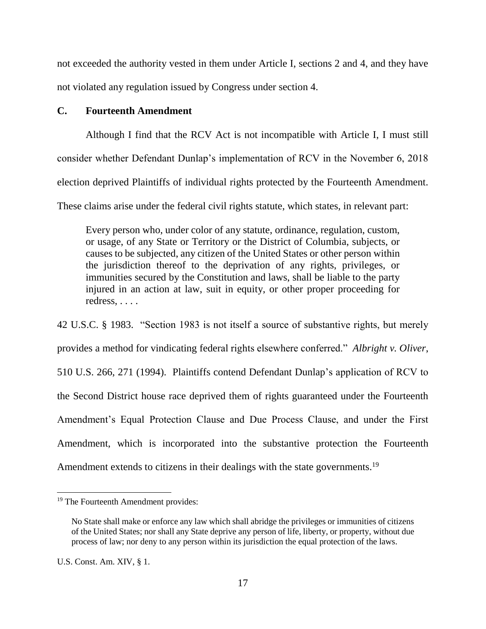not exceeded the authority vested in them under Article I, sections 2 and 4, and they have not violated any regulation issued by Congress under section 4.

## **C. Fourteenth Amendment**

Although I find that the RCV Act is not incompatible with Article I, I must still consider whether Defendant Dunlap's implementation of RCV in the November 6, 2018 election deprived Plaintiffs of individual rights protected by the Fourteenth Amendment. These claims arise under the federal civil rights statute, which states, in relevant part:

Every person who, under color of any statute, ordinance, regulation, custom, or usage, of any State or Territory or the District of Columbia, subjects, or causes to be subjected, any citizen of the United States or other person within the jurisdiction thereof to the deprivation of any rights, privileges, or immunities secured by the Constitution and laws, shall be liable to the party injured in an action at law, suit in equity, or other proper proceeding for redress, . . . .

42 U.S.C. § 1983. "Section 1983 is not itself a source of substantive rights, but merely provides a method for vindicating federal rights elsewhere conferred." *Albright v. Oliver*, 510 U.S. 266, 271 (1994). Plaintiffs contend Defendant Dunlap's application of RCV to the Second District house race deprived them of rights guaranteed under the Fourteenth Amendment's Equal Protection Clause and Due Process Clause, and under the First Amendment, which is incorporated into the substantive protection the Fourteenth Amendment extends to citizens in their dealings with the state governments.<sup>19</sup>

l <sup>19</sup> The Fourteenth Amendment provides:

No State shall make or enforce any law which shall abridge the privileges or immunities of citizens of the United States; nor shall any State deprive any person of life, liberty, or property, without due process of law; nor deny to any person within its jurisdiction the equal protection of the laws.

U.S. Const. Am. XIV, § 1.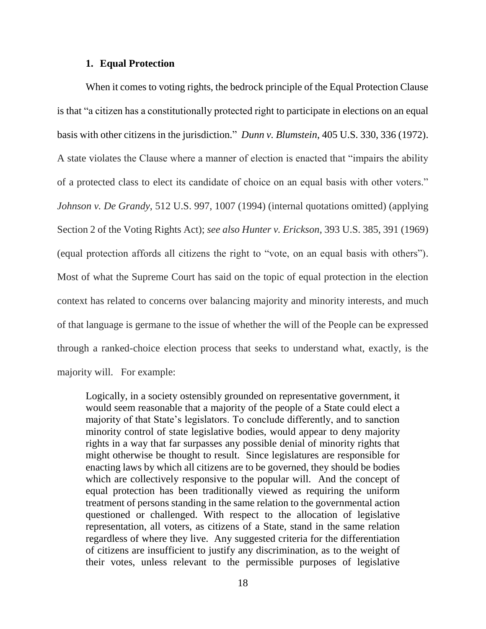### **1. Equal Protection**

When it comes to voting rights, the bedrock principle of the Equal Protection Clause is that "a citizen has a constitutionally protected right to participate in elections on an equal basis with other citizens in the jurisdiction." *Dunn v. Blumstein*, 405 U.S. 330, 336 (1972). A state violates the Clause where a manner of election is enacted that "impairs the ability of a protected class to elect its candidate of choice on an equal basis with other voters." *Johnson v. De Grandy*, 512 U.S. 997, 1007 (1994) (internal quotations omitted) (applying Section 2 of the Voting Rights Act); *see also Hunter v. Erickson*, 393 U.S. 385, 391 (1969) (equal protection affords all citizens the right to "vote, on an equal basis with others"). Most of what the Supreme Court has said on the topic of equal protection in the election context has related to concerns over balancing majority and minority interests, and much of that language is germane to the issue of whether the will of the People can be expressed through a ranked-choice election process that seeks to understand what, exactly, is the majority will. For example:

Logically, in a society ostensibly grounded on representative government, it would seem reasonable that a majority of the people of a State could elect a majority of that State's legislators. To conclude differently, and to sanction minority control of state legislative bodies, would appear to deny majority rights in a way that far surpasses any possible denial of minority rights that might otherwise be thought to result. Since legislatures are responsible for enacting laws by which all citizens are to be governed, they should be bodies which are collectively responsive to the popular will. And the concept of equal protection has been traditionally viewed as requiring the uniform treatment of persons standing in the same relation to the governmental action questioned or challenged. With respect to the allocation of legislative representation, all voters, as citizens of a State, stand in the same relation regardless of where they live. Any suggested criteria for the differentiation of citizens are insufficient to justify any discrimination, as to the weight of their votes, unless relevant to the permissible purposes of legislative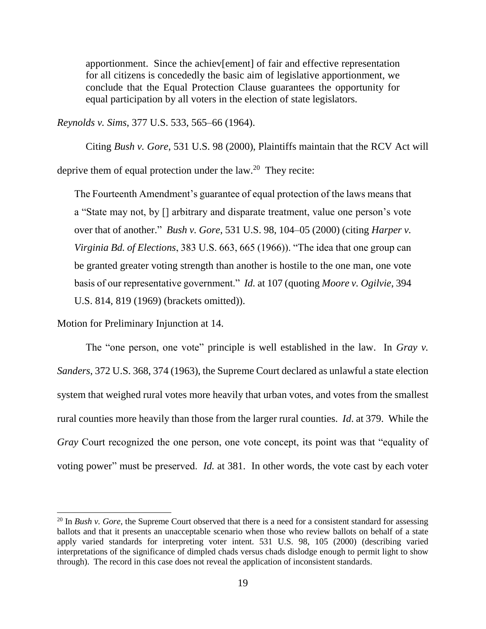apportionment. Since the achiev[ement] of fair and effective representation for all citizens is concededly the basic aim of legislative apportionment, we conclude that the Equal Protection Clause guarantees the opportunity for equal participation by all voters in the election of state legislators.

*Reynolds v. Sims*, 377 U.S. 533, 565–66 (1964).

Citing *Bush v. Gore*, 531 U.S. 98 (2000), Plaintiffs maintain that the RCV Act will deprive them of equal protection under the  $law.^{20}$  They recite:

The Fourteenth Amendment's guarantee of equal protection of the laws means that a "State may not, by [] arbitrary and disparate treatment, value one person's vote over that of another." *Bush v. Gore*, 531 U.S. 98, 104–05 (2000) (citing *Harper v. Virginia Bd. of Elections*, 383 U.S. 663, 665 (1966)). "The idea that one group can be granted greater voting strength than another is hostile to the one man, one vote basis of our representative government." *Id.* at 107 (quoting *Moore v. Ogilvie*, 394 U.S. 814, 819 (1969) (brackets omitted)).

Motion for Preliminary Injunction at 14.

 $\overline{a}$ 

The "one person, one vote" principle is well established in the law. In *Gray v*. *Sanders*, 372 U.S. 368, 374 (1963), the Supreme Court declared as unlawful a state election system that weighed rural votes more heavily that urban votes, and votes from the smallest rural counties more heavily than those from the larger rural counties. *Id*. at 379. While the *Gray* Court recognized the one person, one vote concept, its point was that "equality of voting power" must be preserved. *Id.* at 381. In other words, the vote cast by each voter

<sup>&</sup>lt;sup>20</sup> In *Bush v. Gore*, the Supreme Court observed that there is a need for a consistent standard for assessing ballots and that it presents an unacceptable scenario when those who review ballots on behalf of a state apply varied standards for interpreting voter intent. 531 U.S. 98, 105 (2000) (describing varied interpretations of the significance of dimpled chads versus chads dislodge enough to permit light to show through). The record in this case does not reveal the application of inconsistent standards.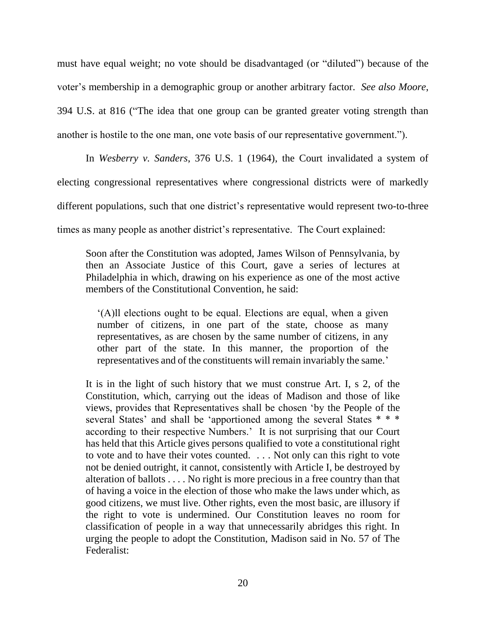must have equal weight; no vote should be disadvantaged (or "diluted") because of the voter's membership in a demographic group or another arbitrary factor. *See also Moore*, 394 U.S. at 816 ("The idea that one group can be granted greater voting strength than another is hostile to the one man, one vote basis of our representative government.").

In *Wesberry v. Sanders*, 376 U.S. 1 (1964), the Court invalidated a system of electing congressional representatives where congressional districts were of markedly different populations, such that one district's representative would represent two-to-three times as many people as another district's representative. The Court explained:

Soon after the Constitution was adopted, James Wilson of Pennsylvania, by then an Associate Justice of this Court, gave a series of lectures at Philadelphia in which, drawing on his experience as one of the most active members of the Constitutional Convention, he said:

'(A)ll elections ought to be equal. Elections are equal, when a given number of citizens, in one part of the state, choose as many representatives, as are chosen by the same number of citizens, in any other part of the state. In this manner, the proportion of the representatives and of the constituents will remain invariably the same.'

It is in the light of such history that we must construe Art. I, s 2, of the Constitution, which, carrying out the ideas of Madison and those of like views, provides that Representatives shall be chosen 'by the People of the several States' and shall be 'apportioned among the several States \* \* \* according to their respective Numbers.' It is not surprising that our Court has held that this Article gives persons qualified to vote a constitutional right to vote and to have their votes counted. . . . Not only can this right to vote not be denied outright, it cannot, consistently with Article I, be destroyed by alteration of ballots . . . . No right is more precious in a free country than that of having a voice in the election of those who make the laws under which, as good citizens, we must live. Other rights, even the most basic, are illusory if the right to vote is undermined. Our Constitution leaves no room for classification of people in a way that unnecessarily abridges this right. In urging the people to adopt the Constitution, Madison said in No. 57 of The Federalist: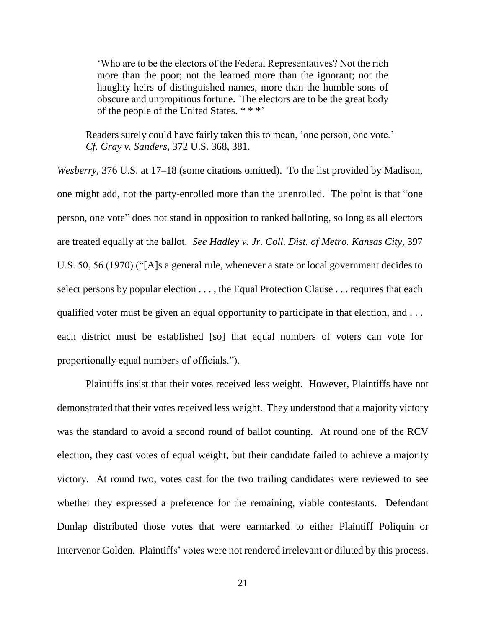'Who are to be the electors of the Federal Representatives? Not the rich more than the poor; not the learned more than the ignorant; not the haughty heirs of distinguished names, more than the humble sons of obscure and unpropitious fortune. The electors are to be the great body of the people of the United States. \* \* \*'

Readers surely could have fairly taken this to mean, 'one person, one vote.' *Cf. Gray v. Sanders*, 372 U.S. 368, 381.

*Wesberry*, 376 U.S. at 17–18 (some citations omitted). To the list provided by Madison, one might add, not the party-enrolled more than the unenrolled. The point is that "one person, one vote" does not stand in opposition to ranked balloting, so long as all electors are treated equally at the ballot. *See Hadley v. Jr. Coll. Dist. of Metro. Kansas City*, 397 U.S. 50, 56 (1970) ("[A]s a general rule, whenever a state or local government decides to select persons by popular election . . . , the Equal Protection Clause . . . requires that each qualified voter must be given an equal opportunity to participate in that election, and ... each district must be established [so] that equal numbers of voters can vote for proportionally equal numbers of officials.").

Plaintiffs insist that their votes received less weight. However, Plaintiffs have not demonstrated that their votes received less weight. They understood that a majority victory was the standard to avoid a second round of ballot counting. At round one of the RCV election, they cast votes of equal weight, but their candidate failed to achieve a majority victory. At round two, votes cast for the two trailing candidates were reviewed to see whether they expressed a preference for the remaining, viable contestants. Defendant Dunlap distributed those votes that were earmarked to either Plaintiff Poliquin or Intervenor Golden. Plaintiffs' votes were not rendered irrelevant or diluted by this process.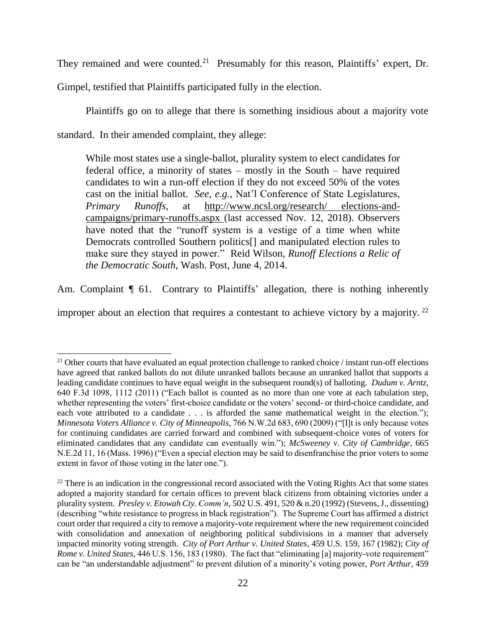They remained and were counted.<sup>21</sup> Presumably for this reason, Plaintiffs' expert, Dr.

Gimpel, testified that Plaintiffs participated fully in the election.

Plaintiffs go on to allege that there is something insidious about a majority vote

standard. In their amended complaint, they allege:

l

While most states use a single-ballot, plurality system to elect candidates for federal office, a minority of states – mostly in the South – have required candidates to win a run-off election if they do not exceed 50% of the votes cast on the initial ballot. *See, e.g.*, Nat'l Conference of State Legislatures, *Primary Runoffs*, at http://www.ncsl.org/research/ elections-andcampaigns/primary-runoffs.aspx (last accessed Nov. 12, 2018). Observers have noted that the "runoff system is a vestige of a time when white Democrats controlled Southern politics[] and manipulated election rules to make sure they stayed in power." Reid Wilson, *Runoff Elections a Relic of the Democratic South*, Wash. Post, June 4, 2014.

Am. Complaint  $\P$  61. Contrary to Plaintiffs' allegation, there is nothing inherently

improper about an election that requires a contestant to achieve victory by a majority.  $22$ 

<sup>&</sup>lt;sup>21</sup> Other courts that have evaluated an equal protection challenge to ranked choice / instant run-off elections have agreed that ranked ballots do not dilute unranked ballots because an unranked ballot that supports a leading candidate continues to have equal weight in the subsequent round(s) of balloting. *Dudum v. Arntz*, 640 F.3d 1098, 1112 (2011) ("Each ballot is counted as no more than one vote at each tabulation step, whether representing the voters' first-choice candidate or the voters' second- or third-choice candidate, and each vote attributed to a candidate . . . is afforded the same mathematical weight in the election."); *Minnesota Voters Alliance v. City of Minneapolis*, 766 N.W.2d 683, 690 (2009) ("[I]t is only because votes for continuing candidates are carried forward and combined with subsequent-choice votes of voters for eliminated candidates that any candidate can eventually win."); *McSweeney v. City of Cambridge*, 665 N.E.2d 11, 16 (Mass. 1996) ("Even a special election may be said to disenfranchise the prior voters to some extent in favor of those voting in the later one.").

 $22$  There is an indication in the congressional record associated with the Voting Rights Act that some states adopted a majority standard for certain offices to prevent black citizens from obtaining victories under a plurality system. *Presley v. Etowah Cty. Comm'n*, 502 U.S. 491, 520 & n.20 (1992) (Stevens, J., dissenting) (describing "white resistance to progress in black registration"). The Supreme Court has affirmed a district court order that required a city to remove a majority-vote requirement where the new requirement coincided with consolidation and annexation of neighboring political subdivisions in a manner that adversely impacted minority voting strength. *City of Port Arthur v. United States*, 459 U.S. 159, 167 (1982); *City of Rome v. United States*, 446 U.S. 156, 183 (1980). The fact that "eliminating [a] majority-vote requirement" can be "an understandable adjustment" to prevent dilution of a minority's voting power, *Port Arthur*, 459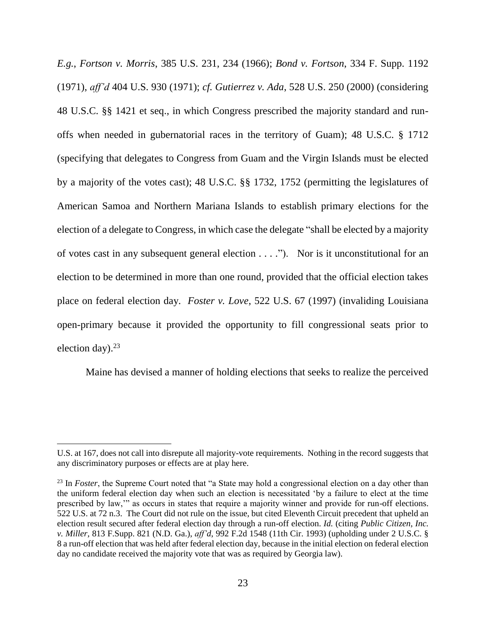*E.g.*, *Fortson v. Morris*, 385 U.S. 231, 234 (1966); *Bond v. Fortson*, 334 F. Supp. 1192 (1971), *aff'd* 404 U.S. 930 (1971); *cf. Gutierrez v. Ada*, 528 U.S. 250 (2000) (considering 48 U.S.C. §§ 1421 et seq., in which Congress prescribed the majority standard and runoffs when needed in gubernatorial races in the territory of Guam); 48 U.S.C. § 1712 (specifying that delegates to Congress from Guam and the Virgin Islands must be elected by a majority of the votes cast); 48 U.S.C. §§ 1732, 1752 (permitting the legislatures of American Samoa and Northern Mariana Islands to establish primary elections for the election of a delegate to Congress, in which case the delegate "shall be elected by a majority of votes cast in any subsequent general election . . . ."). Nor is it unconstitutional for an election to be determined in more than one round, provided that the official election takes place on federal election day. *Foster v. Love*, 522 U.S. 67 (1997) (invaliding Louisiana open-primary because it provided the opportunity to fill congressional seats prior to election day). $23$ 

Maine has devised a manner of holding elections that seeks to realize the perceived

 $\overline{a}$ 

U.S. at 167, does not call into disrepute all majority-vote requirements. Nothing in the record suggests that any discriminatory purposes or effects are at play here.

<sup>&</sup>lt;sup>23</sup> In *Foster*, the Supreme Court noted that "a State may hold a congressional election on a day other than the uniform federal election day when such an election is necessitated 'by a failure to elect at the time prescribed by law,'" as occurs in states that require a majority winner and provide for run-off elections. 522 U.S. at 72 n.3. The Court did not rule on the issue, but cited Eleventh Circuit precedent that upheld an election result secured after federal election day through a run-off election. *Id.* (citing *Public Citizen*, *Inc. v. Miller*, 813 F.Supp. 821 (N.D. Ga.), *aff'd*, 992 F.2d 1548 (11th Cir. 1993) (upholding under 2 U.S.C. § 8 a run-off election that was held after federal election day, because in the initial election on federal election day no candidate received the majority vote that was as required by Georgia law).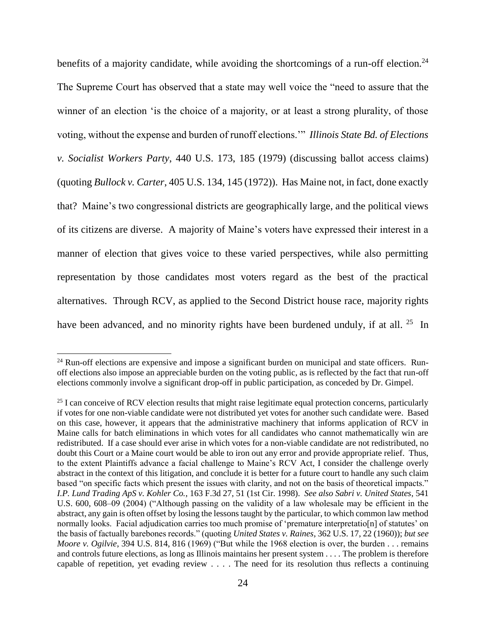benefits of a majority candidate, while avoiding the shortcomings of a run-off election.<sup>24</sup> The Supreme Court has observed that a state may well voice the "need to assure that the winner of an election 'is the choice of a majority, or at least a strong plurality, of those voting, without the expense and burden of runoff elections.'" *Illinois State Bd. of Elections v. Socialist Workers Party*, 440 U.S. 173, 185 (1979) (discussing ballot access claims) (quoting *Bullock v. Carter*, 405 U.S. 134, 145 (1972)). Has Maine not, in fact, done exactly that? Maine's two congressional districts are geographically large, and the political views of its citizens are diverse. A majority of Maine's voters have expressed their interest in a manner of election that gives voice to these varied perspectives, while also permitting representation by those candidates most voters regard as the best of the practical alternatives. Through RCV, as applied to the Second District house race, majority rights have been advanced, and no minority rights have been burdened unduly, if at all. <sup>25</sup> In

 $24$  Run-off elections are expensive and impose a significant burden on municipal and state officers. Runoff elections also impose an appreciable burden on the voting public, as is reflected by the fact that run-off elections commonly involve a significant drop-off in public participation, as conceded by Dr. Gimpel.

<sup>&</sup>lt;sup>25</sup> I can conceive of RCV election results that might raise legitimate equal protection concerns, particularly if votes for one non-viable candidate were not distributed yet votes for another such candidate were. Based on this case, however, it appears that the administrative machinery that informs application of RCV in Maine calls for batch eliminations in which votes for all candidates who cannot mathematically win are redistributed. If a case should ever arise in which votes for a non-viable candidate are not redistributed, no doubt this Court or a Maine court would be able to iron out any error and provide appropriate relief. Thus, to the extent Plaintiffs advance a facial challenge to Maine's RCV Act, I consider the challenge overly abstract in the context of this litigation, and conclude it is better for a future court to handle any such claim based "on specific facts which present the issues with clarity, and not on the basis of theoretical impacts." *I.P. Lund Trading ApS v. Kohler Co.*, 163 F.3d 27, 51 (1st Cir. 1998). *See also Sabri v. United States*, 541 U.S. 600, 608–09 (2004) ("Although passing on the validity of a law wholesale may be efficient in the abstract, any gain is often offset by losing the lessons taught by the particular, to which common law method normally looks. Facial adjudication carries too much promise of 'premature interpretatio[n] of statutes' on the basis of factually barebones records." (quoting *United States v. Raines*, 362 U.S. 17, 22 (1960)); *but see Moore v. Ogilvie*, 394 U.S. 814, 816 (1969) ("But while the 1968 election is over, the burden . . . remains and controls future elections, as long as Illinois maintains her present system . . . . The problem is therefore capable of repetition, yet evading review . . . . The need for its resolution thus reflects a continuing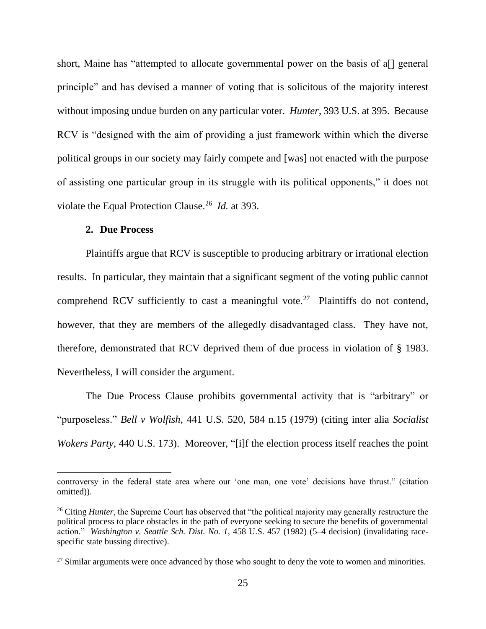short, Maine has "attempted to allocate governmental power on the basis of a<sup>[]</sup> general principle" and has devised a manner of voting that is solicitous of the majority interest without imposing undue burden on any particular voter. *Hunter*, 393 U.S. at 395. Because RCV is "designed with the aim of providing a just framework within which the diverse political groups in our society may fairly compete and [was] not enacted with the purpose of assisting one particular group in its struggle with its political opponents," it does not violate the Equal Protection Clause.<sup>26</sup> *Id.* at 393.

#### **2. Due Process**

 $\overline{a}$ 

Plaintiffs argue that RCV is susceptible to producing arbitrary or irrational election results. In particular, they maintain that a significant segment of the voting public cannot comprehend RCV sufficiently to cast a meaningful vote.<sup>27</sup> Plaintiffs do not contend, however, that they are members of the allegedly disadvantaged class. They have not, therefore, demonstrated that RCV deprived them of due process in violation of § 1983. Nevertheless, I will consider the argument.

The Due Process Clause prohibits governmental activity that is "arbitrary" or "purposeless." *Bell v Wolfish*, 441 U.S. 520, 584 n.15 (1979) (citing inter alia *Socialist Wokers Party*, 440 U.S. 173). Moreover, "[i]f the election process itself reaches the point

controversy in the federal state area where our 'one man, one vote' decisions have thrust." (citation omitted)).

<sup>&</sup>lt;sup>26</sup> Citing *Hunter*, the Supreme Court has observed that "the political majority may generally restructure the political process to place obstacles in the path of everyone seeking to secure the benefits of governmental action." *Washington v. Seattle Sch. Dist. No. 1*, 458 U.S. 457 (1982) (5–4 decision) (invalidating racespecific state bussing directive).

 $27$  Similar arguments were once advanced by those who sought to deny the vote to women and minorities.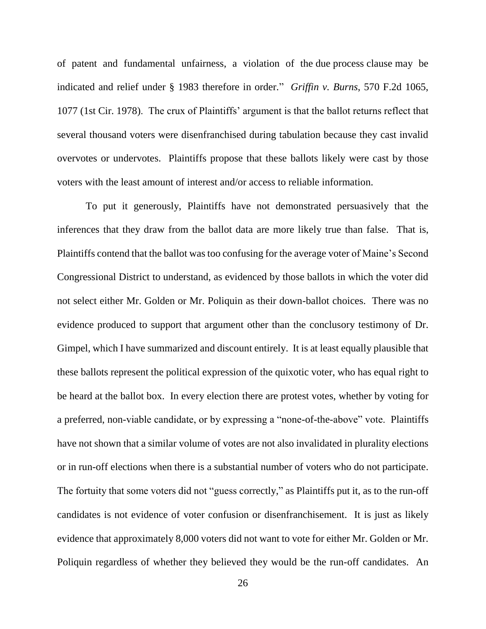of patent and fundamental unfairness, a violation of the due process clause may be indicated and relief under § 1983 therefore in order." *Griffin v. Burns*, 570 F.2d 1065, 1077 (1st Cir. 1978). The crux of Plaintiffs' argument is that the ballot returns reflect that several thousand voters were disenfranchised during tabulation because they cast invalid overvotes or undervotes. Plaintiffs propose that these ballots likely were cast by those voters with the least amount of interest and/or access to reliable information.

To put it generously, Plaintiffs have not demonstrated persuasively that the inferences that they draw from the ballot data are more likely true than false. That is, Plaintiffs contend that the ballot was too confusing for the average voter of Maine's Second Congressional District to understand, as evidenced by those ballots in which the voter did not select either Mr. Golden or Mr. Poliquin as their down-ballot choices. There was no evidence produced to support that argument other than the conclusory testimony of Dr. Gimpel, which I have summarized and discount entirely. It is at least equally plausible that these ballots represent the political expression of the quixotic voter, who has equal right to be heard at the ballot box. In every election there are protest votes, whether by voting for a preferred, non-viable candidate, or by expressing a "none-of-the-above" vote. Plaintiffs have not shown that a similar volume of votes are not also invalidated in plurality elections or in run-off elections when there is a substantial number of voters who do not participate. The fortuity that some voters did not "guess correctly," as Plaintiffs put it, as to the run-off candidates is not evidence of voter confusion or disenfranchisement. It is just as likely evidence that approximately 8,000 voters did not want to vote for either Mr. Golden or Mr. Poliquin regardless of whether they believed they would be the run-off candidates. An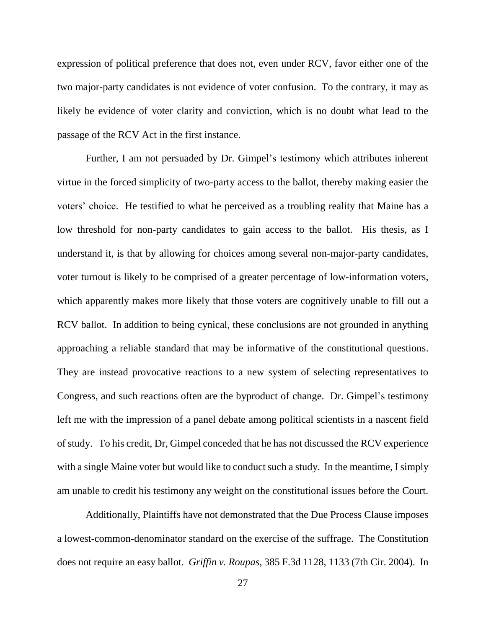expression of political preference that does not, even under RCV, favor either one of the two major-party candidates is not evidence of voter confusion. To the contrary, it may as likely be evidence of voter clarity and conviction, which is no doubt what lead to the passage of the RCV Act in the first instance.

Further, I am not persuaded by Dr. Gimpel's testimony which attributes inherent virtue in the forced simplicity of two-party access to the ballot, thereby making easier the voters' choice. He testified to what he perceived as a troubling reality that Maine has a low threshold for non-party candidates to gain access to the ballot. His thesis, as I understand it, is that by allowing for choices among several non-major-party candidates, voter turnout is likely to be comprised of a greater percentage of low-information voters, which apparently makes more likely that those voters are cognitively unable to fill out a RCV ballot. In addition to being cynical, these conclusions are not grounded in anything approaching a reliable standard that may be informative of the constitutional questions. They are instead provocative reactions to a new system of selecting representatives to Congress, and such reactions often are the byproduct of change. Dr. Gimpel's testimony left me with the impression of a panel debate among political scientists in a nascent field of study. To his credit, Dr, Gimpel conceded that he has not discussed the RCV experience with a single Maine voter but would like to conduct such a study. In the meantime, I simply am unable to credit his testimony any weight on the constitutional issues before the Court.

Additionally, Plaintiffs have not demonstrated that the Due Process Clause imposes a lowest-common-denominator standard on the exercise of the suffrage. The Constitution does not require an easy ballot. *Griffin v. Roupas*, 385 F.3d 1128, 1133 (7th Cir. 2004). In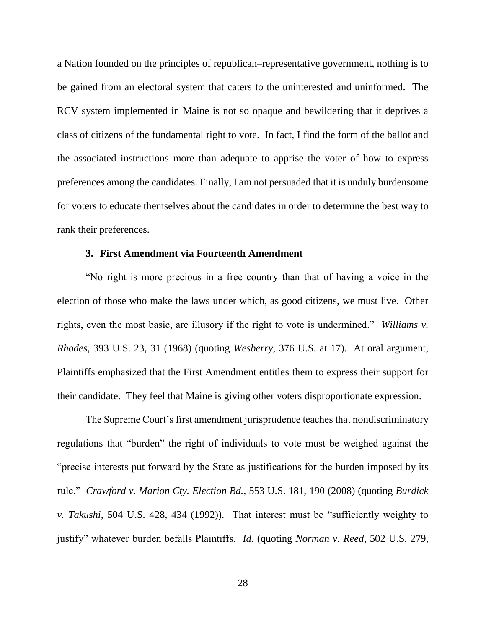a Nation founded on the principles of republican–representative government, nothing is to be gained from an electoral system that caters to the uninterested and uninformed. The RCV system implemented in Maine is not so opaque and bewildering that it deprives a class of citizens of the fundamental right to vote. In fact, I find the form of the ballot and the associated instructions more than adequate to apprise the voter of how to express preferences among the candidates. Finally, I am not persuaded that it is unduly burdensome for voters to educate themselves about the candidates in order to determine the best way to rank their preferences.

#### **3. First Amendment via Fourteenth Amendment**

"No right is more precious in a free country than that of having a voice in the election of those who make the laws under which, as good citizens, we must live. Other rights, even the most basic, are illusory if the right to vote is undermined." *Williams v. Rhodes*, 393 U.S. 23, 31 (1968) (quoting *Wesberry*, 376 U.S. at 17). At oral argument, Plaintiffs emphasized that the First Amendment entitles them to express their support for their candidate. They feel that Maine is giving other voters disproportionate expression.

The Supreme Court's first amendment jurisprudence teaches that nondiscriminatory regulations that "burden" the right of individuals to vote must be weighed against the "precise interests put forward by the State as justifications for the burden imposed by its rule." *Crawford v. Marion Cty. Election Bd.*, 553 U.S. 181, 190 (2008) (quoting *Burdick v. Takushi*, 504 U.S. 428, 434 (1992)). That interest must be "sufficiently weighty to justify" whatever burden befalls Plaintiffs. *Id.* (quoting *Norman v. Reed*, 502 U.S. 279,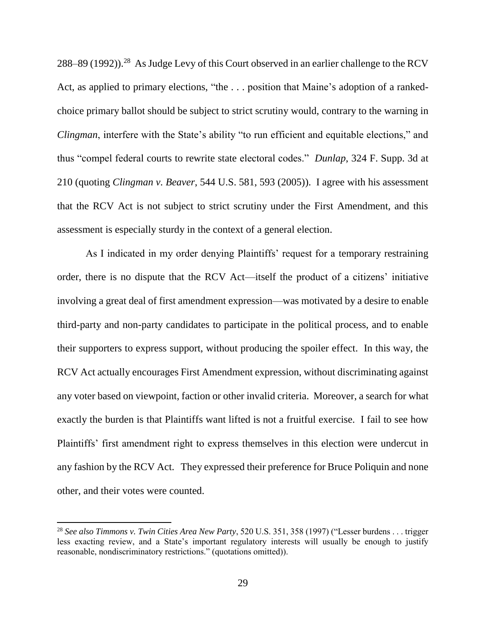288–89 (1992)).<sup>28</sup> As Judge Levy of this Court observed in an earlier challenge to the RCV Act, as applied to primary elections, "the . . . position that Maine's adoption of a rankedchoice primary ballot should be subject to strict scrutiny would, contrary to the warning in *Clingman*, interfere with the State's ability "to run efficient and equitable elections," and thus "compel federal courts to rewrite state electoral codes." *Dunlap*, 324 F. Supp. 3d at 210 (quoting *Clingman v. Beaver*, 544 U.S. 581, 593 (2005)). I agree with his assessment that the RCV Act is not subject to strict scrutiny under the First Amendment, and this assessment is especially sturdy in the context of a general election.

As I indicated in my order denying Plaintiffs' request for a temporary restraining order, there is no dispute that the RCV Act—itself the product of a citizens' initiative involving a great deal of first amendment expression—was motivated by a desire to enable third-party and non-party candidates to participate in the political process, and to enable their supporters to express support, without producing the spoiler effect. In this way, the RCV Act actually encourages First Amendment expression, without discriminating against any voter based on viewpoint, faction or other invalid criteria. Moreover, a search for what exactly the burden is that Plaintiffs want lifted is not a fruitful exercise. I fail to see how Plaintiffs' first amendment right to express themselves in this election were undercut in any fashion by the RCV Act. They expressed their preference for Bruce Poliquin and none other, and their votes were counted.

<sup>28</sup> *See also Timmons v. Twin Cities Area New Party*, 520 U.S. 351, 358 (1997) ("Lesser burdens . . . trigger less exacting review, and a State's important regulatory interests will usually be enough to justify reasonable, nondiscriminatory restrictions." (quotations omitted)).